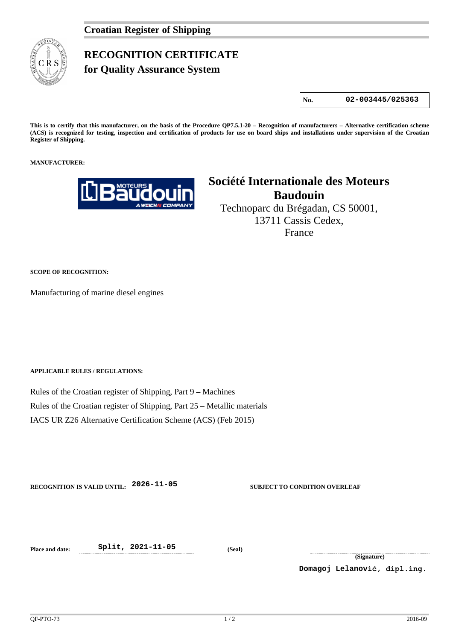## **RECOGNITION CERTIFICATE**

**for Quality Assurance System** 

**No. 02-003445/025363**

**This is to certify that this manufacturer, on the basis of the Procedure QP7.5.1-20 – Recognition of manufacturers – Alternative certification scheme (ACS) is recognized for testing, inspection and certification of products for use on board ships and installations under supervision of the Croatian Register of Shipping.**

## **MANUFACTURER:**



## **Société Internationale des Moteurs Baudouin**

Technoparc du Brégadan, CS 50001, 13711 Cassis Cedex, France

**SCOPE OF RECOGNITION:**

Manufacturing of marine diesel engines

**APPLICABLE RULES / REGULATIONS:**

Rules of the Croatian register of Shipping, Part 9 – Machines Rules of the Croatian register of Shipping, Part 25 – Metallic materials IACS UR Z26 Alternative Certification Scheme (ACS) (Feb 2015)

**RECOGNITION IS VALID UNTIL: 2026-11-05 SUBJECT TO CONDITION OVERLEAF**

**Place and date: Split, 2021-11-05 (Seal)**

**(Signature)**

**Domagoj Lelanović, dipl.ing.**